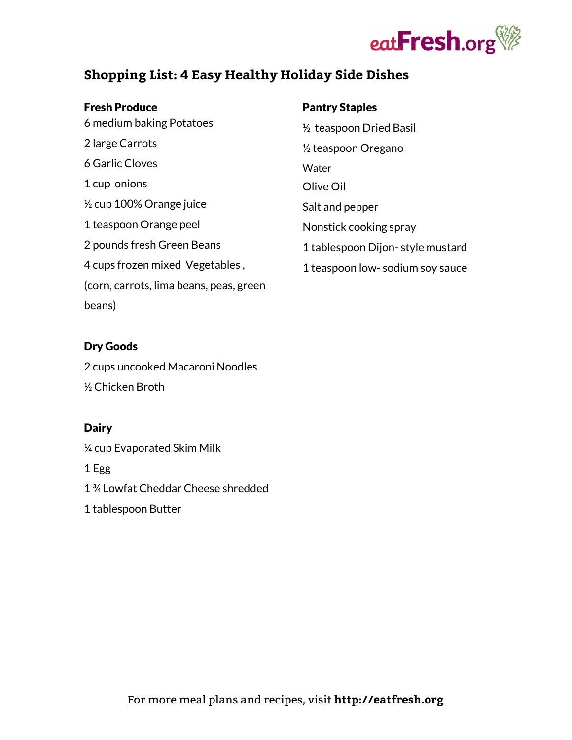

# **Shopping List: 4 Easy Healthy Holiday Side Dishes**

#### Fresh Produce

 medium baking Potatoes large Carrots Garlic Cloves cup onions ½ cup 100% Orange juice teaspoon Orange peel pounds fresh Green Beans cups frozen mixed Vegetables , (corn, carrots, lima beans, peas, green beans)

# ½ teaspoon Dried Basil ½ teaspoon Oregano Water Olive Oil Salt and pepper Nonstick cooking spray 1 tablespoon Dijon- style mustard

Pantry Staples

1 teaspoon low- sodium soy sauce

# Dry Goods

2 cups uncooked Macaroni Noodles ½ Chicken Broth

# **Dairy**

¼ cup Evaporated Skim Milk

1 Egg

1 ¾ Lowfat Cheddar Cheese shredded

1 tablespoon Butter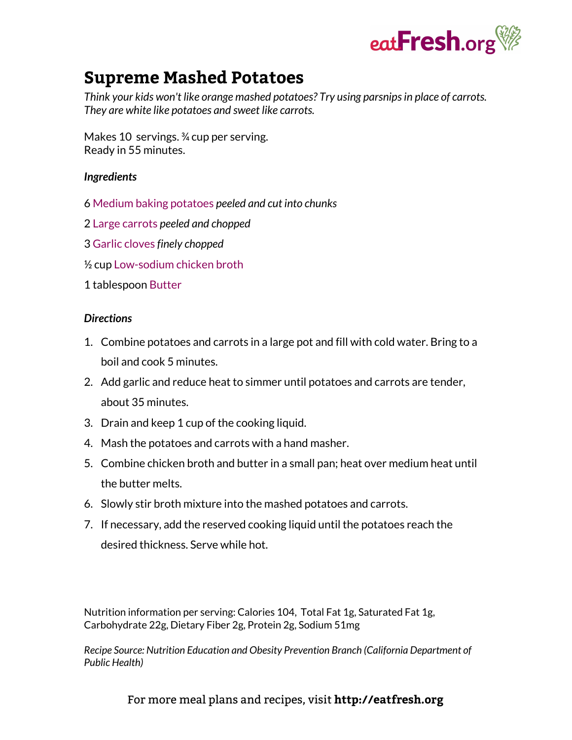

# **Supreme Mashed Potatoes**

*Think your kids won't like orange mashed potatoes? Try using parsnipsin place of carrots. They are white like potatoes and sweet like carrots.*

Makes 10 servings. ¾ cup per serving. Ready in 55 minutes.

### *Ingredients*

- 6 Medium baking [potatoes](http://eatfresh.org/discover-foods/potatoes) *peeled and cut into chunks*
- 2 Large [carrots](http://eatfresh.org/discover-foods/carrots) *peeled and chopped*
- 3 Garlic [cloves](http://eatfresh.org/discover-foods/garlic) *finely chopped*
- ½ cup [Low-sodium](http://eatfresh.org/discover-foods/broth) chicken broth

### 1 tablespoon [Butter](http://eatfresh.org/discover-foods/other-dairy)

#### *Directions*

- 1. Combine potatoes and carrots in a large pot and fill with cold water. Bring to a boil and cook 5 minutes.
- 2. Add garlic and reduce heat to simmer until potatoes and carrots are tender, about 35 minutes.
- 3. Drain and keep 1 cup of the cooking liquid.
- 4. Mash the potatoes and carrots with a hand masher.
- 5. Combine chicken broth and butter in a small pan; heat over medium heat until the butter melts.
- 6. Slowly stir broth mixture into the mashed potatoes and carrots.
- 7. If necessary, add the reserved cooking liquid until the potatoes reach the desired thickness. Serve while hot.

Nutrition information per serving: Calories 104, Total Fat 1g, Saturated Fat 1g, Carbohydrate 22g, Dietary Fiber 2g, Protein 2g, Sodium 51mg

*Recipe Source: Nutrition Education and Obesity Prevention Branch (California Department of Public Health)*

For more meal plans and recipes, visit **http://eatfresh.org**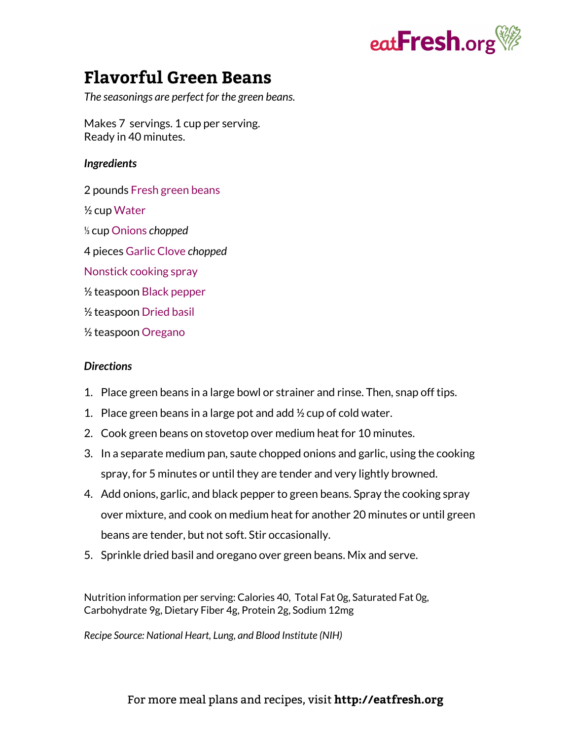

# **Flavorful Green Beans**

*The seasonings are perfect for the green beans.*

Makes 7 servings. 1 cup per serving. Ready in 40 minutes.

#### *Ingredients*

- 2 pounds Fresh green [beans](http://eatfresh.org/discover-foods/fresh-peas-beans)
- ½ cup [Water](http://eatfresh.org/discover-foods/water)
- ⅓ cup [Onions](http://eatfresh.org/discover-foods/onion) *chopped*
- 4 pieces [Garlic](http://eatfresh.org/discover-foods/garlic) Clove *chopped*
- [Nonstick](http://eatfresh.org/discover-foods/vegetable-oils) cooking spray
- ½ teaspoon Black [pepper](http://eatfresh.org/discover-foods/spices)
- ½ teaspoon [Dried](http://eatfresh.org/discover-foods/herbs) basil
- ½ teaspoon [Oregano](http://eatfresh.org/discover-foods/spices)

### *Directions*

- 1. Place green beans in a large bowl or strainer and rinse. Then, snap off tips.
- 1. Place green beans in a large pot and add  $\frac{1}{2}$  cup of cold water.
- 2. Cook green beans on stovetop over medium heat for 10 minutes.
- 3. In a separate medium pan, saute chopped onions and garlic, using the cooking spray, for 5 minutes or until they are tender and very lightly browned.
- 4. Add onions, garlic, and black pepper to green beans. Spray the cooking spray over mixture, and cook on medium heat for another 20 minutes or until green beans are tender, but not soft. Stir occasionally.
- 5. Sprinkle dried basil and oregano over green beans. Mix and serve.

Nutrition information per serving: Calories 40, Total Fat 0g, Saturated Fat 0g, Carbohydrate 9g, Dietary Fiber 4g, Protein 2g, Sodium 12mg

*Recipe Source: National Heart, Lung, and Blood Institute (NIH)*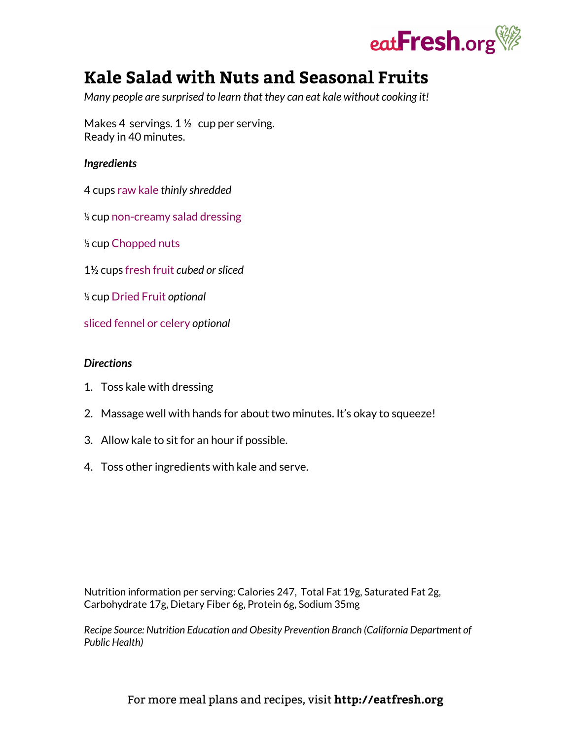

# **Kale Salad with Nuts and Seasonal Fruits**

*Many people are surprised to learn that they can eat kale without cooking it!*

Makes 4 servings. 1 ½ cup per serving. Ready in 40 minutes.

#### *Ingredients*

- 4 cups raw [kale](http://eatfresh.org/discover-foods/leafy-greens) *thinly shredded*
- ⅓ cup [non-creamy](http://eatfresh.org/discover-foods/pre-made-ingredients) salad dressing
- ⅓ cup [Chopped](http://eatfresh.org/discover-foods/nuts-seeds) nuts
- 1½ cups [fresh](http://eatfresh.org/discover-foods/stone-fruit) fruit *cubed orsliced*
- ⅓ cup [Dried](http://eatfresh.org/discover-foods/dried-fruit) Fruit *optional*
- sliced [fennel](http://eatfresh.org/discover-foods/celery) or celery *optional*

#### *Directions*

- 1. Toss kale with dressing
- 2. Massage well with hands for about two minutes. It's okay to squeeze!
- 3. Allow kale to sit for an hour if possible.
- 4. Toss other ingredients with kale and serve.

Nutrition information per serving: Calories 247, Total Fat 19g, Saturated Fat 2g, Carbohydrate 17g, Dietary Fiber 6g, Protein 6g, Sodium 35mg

*Recipe Source: Nutrition Education and Obesity Prevention Branch (California Department of Public Health)*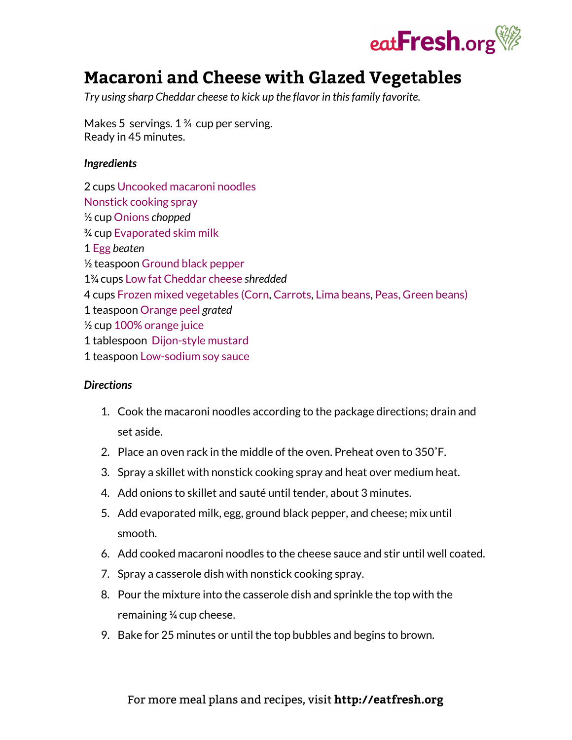

# **Macaroni and Cheese with Glazed Vegetables**

*Try using sharp Cheddar cheese to kick up the flavor in thisfamily favorite.*

Makes 5 servings. 1 <sup>3</sup>/<sub>4</sub> cup per serving. Ready in 45 minutes.

### *Ingredients*

2 cups [Uncooked](http://eatfresh.org/discover-foods/pasta) macaroni noodles [Nonstick](http://eatfresh.org/discover-foods/vegetable-oils) cooking spray ½ cup [Onions](http://eatfresh.org/discover-foods/onion) *chopped* ¾ cup [Evaporated](http://eatfresh.org/discover-foods/milk-and-non-dairy-alternatives) skim milk 1 [Egg](http://eatfresh.org/discover-foods/eggs) *beaten* ½ teaspoon [Ground](http://eatfresh.org/discover-foods/spices) black pepper 1¾ cups Low fat [Cheddar](http://eatfresh.org/discover-foods/cheese) cheese *shredded* 4 cups Frozen mixed [vegetables](http://eatfresh.org/discover-foods/corn) (Corn, [Carrots](http://eatfresh.org/discover-foods/carrots), Lima [beans,](http://eatfresh.org/discover-foods/beans) Peas, Green [beans\)](http://eatfresh.org/discover-foods/fresh-peas-beans) 1 teaspoon [Orange](http://eatfresh.org/discover-foods/citrus) peel *grated* ½ cup 100% [orange](http://eatfresh.org/discover-foods/citrus) juice 1 tablespoon [Dijon-style](http://eatfresh.org/discover-foods/spices) mustard 1 teaspoon [Low-sodium](http://eatfresh.org/discover-foods/pre-made-ingredients) soy sauce

# *Directions*

- 1. Cook the macaroni noodles according to the package directions; drain and set aside.
- 2. Place an oven rack in the middle of the oven. Preheat oven to 350˚F.
- 3. Spray a skillet with nonstick cooking spray and heat over medium heat.
- 4. Add onions to skillet and sauté until tender, about 3 minutes.
- 5. Add evaporated milk, egg, ground black pepper, and cheese; mix until smooth.
- 6. Add cooked macaroni noodles to the cheese sauce and stir until well coated.
- 7. Spray a casserole dish with nonstick cooking spray.
- 8. Pour the mixture into the casserole dish and sprinkle the top with the remaining ¼ cup cheese.
- 9. Bake for 25 minutes or until the top bubbles and begins to brown.

# For more meal plans and recipes, visit **http://eatfresh.org**